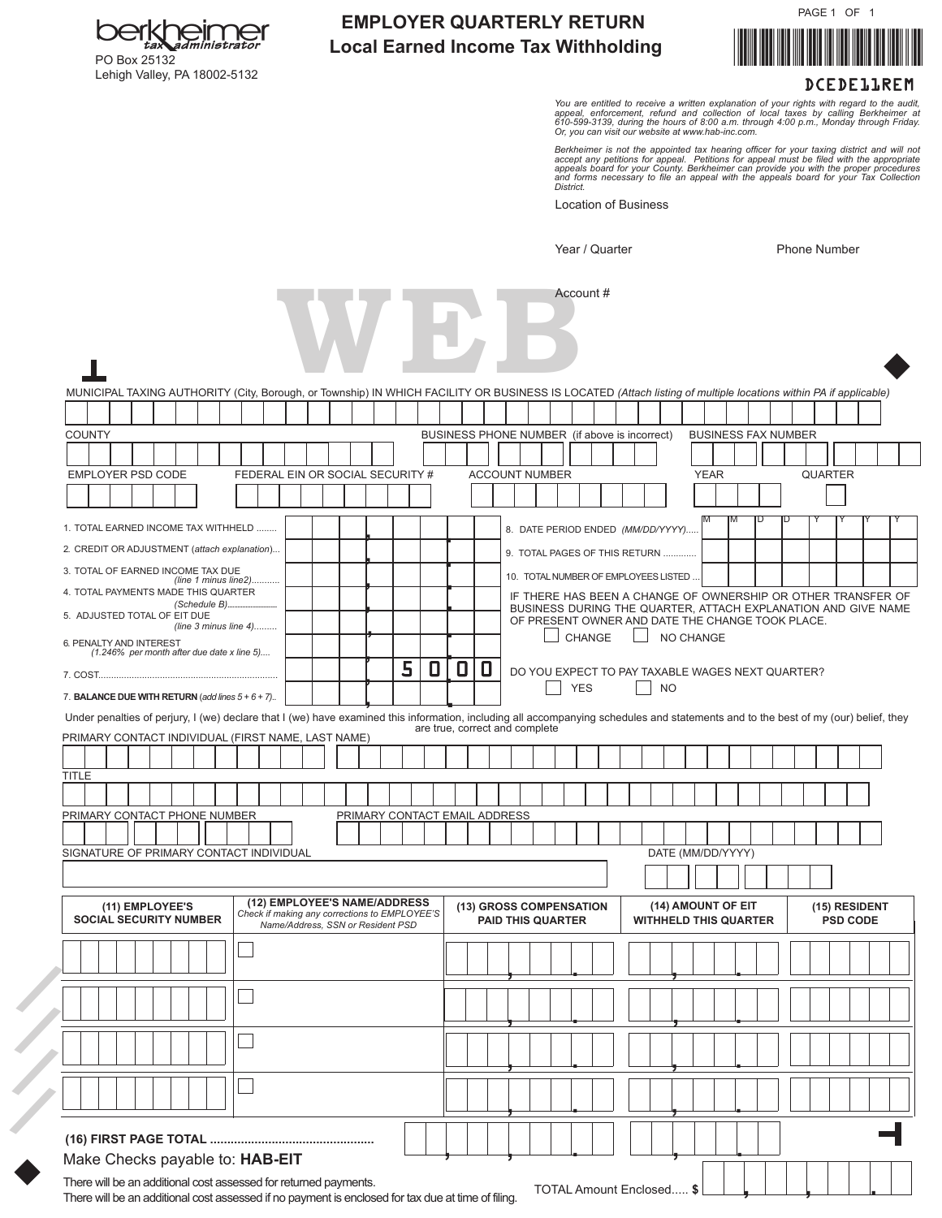PAGE 1 OF 1



## **EMPLOYER QUARTERLY RETURN Local Earned Income Tax Withholding**

DCEDE11REM

You are entitled to receive a written explanation of your rights with regard to the audit,<br>appeal, enforcement, refund and collection of local taxes by calling Berkheimer at<br>610-599-3139, during the hours of 8:00 a.m. thro

Berkheimer is not the appointed tax hearing officer for your taxing district and will not<br>accept any petitions for appeal. Petitions for appeal must be filed with the appropriate<br>appeals board for your County. Berkheimer c

Location of Business

Year / Quarter Phone Number

| MUNICIPAL TAXING AUTHORITY (City, Borough, or Township) IN WHICH FACILITY OR BUSINESS IS LOCATED (Attach listing of multiple locations within PA if applicable)                     |                                               |  |              |                           |  |                                   |  |                                                                               |   |                                               |   |                                                     |  |            |        |                                       |           |                    |             |   |                                                  |                                                               |                                  |
|-------------------------------------------------------------------------------------------------------------------------------------------------------------------------------------|-----------------------------------------------|--|--------------|---------------------------|--|-----------------------------------|--|-------------------------------------------------------------------------------|---|-----------------------------------------------|---|-----------------------------------------------------|--|------------|--------|---------------------------------------|-----------|--------------------|-------------|---|--------------------------------------------------|---------------------------------------------------------------|----------------------------------|
|                                                                                                                                                                                     |                                               |  |              |                           |  |                                   |  |                                                                               |   |                                               |   |                                                     |  |            |        |                                       |           |                    |             |   |                                                  |                                                               |                                  |
| <b>COUNTY</b>                                                                                                                                                                       |                                               |  |              |                           |  |                                   |  |                                                                               |   | BUSINESS PHONE NUMBER (if above is incorrect) |   |                                                     |  |            |        |                                       |           |                    |             |   | <b>BUSINESS FAX NUMBER</b>                       |                                                               |                                  |
|                                                                                                                                                                                     |                                               |  |              |                           |  |                                   |  |                                                                               |   |                                               |   |                                                     |  |            |        |                                       |           |                    |             |   |                                                  |                                                               |                                  |
| EMPLOYER PSD CODE                                                                                                                                                                   |                                               |  |              |                           |  |                                   |  | FEDERAL EIN OR SOCIAL SECURITY #                                              |   |                                               |   | <b>ACCOUNT NUMBER</b>                               |  |            |        |                                       |           |                    | <b>YEAR</b> |   |                                                  | <b>QUARTER</b>                                                |                                  |
|                                                                                                                                                                                     |                                               |  |              |                           |  |                                   |  |                                                                               |   |                                               |   |                                                     |  |            |        |                                       |           |                    |             |   |                                                  |                                                               |                                  |
| 1. TOTAL EARNED INCOME TAX WITHHELD                                                                                                                                                 |                                               |  |              |                           |  |                                   |  |                                                                               |   |                                               |   |                                                     |  |            |        | 8. DATE PERIOD ENDED (MM/DD/YYYY).    |           | M                  | ΙM          | D |                                                  |                                                               |                                  |
| 2. CREDIT OR ADJUSTMENT (attach explanation)                                                                                                                                        |                                               |  |              |                           |  |                                   |  |                                                                               |   |                                               |   |                                                     |  |            |        | 9. TOTAL PAGES OF THIS RETURN         |           |                    |             |   |                                                  |                                                               |                                  |
| 3. TOTAL OF EARNED INCOME TAX DUE                                                                                                                                                   |                                               |  |              |                           |  |                                   |  |                                                                               |   |                                               |   |                                                     |  |            |        | 10. TOTAL NUMBER OF EMPLOYEES LISTED. |           |                    |             |   |                                                  |                                                               |                                  |
| 4. TOTAL PAYMENTS MADE THIS QUARTER                                                                                                                                                 |                                               |  |              | (line 1 minus line2)      |  |                                   |  |                                                                               |   |                                               |   |                                                     |  |            |        |                                       |           |                    |             |   |                                                  | IF THERE HAS BEEN A CHANGE OF OWNERSHIP OR OTHER TRANSFER OF  |                                  |
| 5. ADJUSTED TOTAL OF EIT DUE                                                                                                                                                        |                                               |  | (Schedule B) |                           |  |                                   |  |                                                                               |   |                                               |   |                                                     |  |            |        |                                       |           |                    |             |   | OF PRESENT OWNER AND DATE THE CHANGE TOOK PLACE. | BUSINESS DURING THE QUARTER, ATTACH EXPLANATION AND GIVE NAME |                                  |
| 6. PENALTY AND INTEREST                                                                                                                                                             |                                               |  |              | (line $3$ minus line $4)$ |  |                                   |  |                                                                               |   |                                               |   |                                                     |  |            | CHANGE |                                       |           | NO CHANGE          |             |   |                                                  |                                                               |                                  |
|                                                                                                                                                                                     | $(1.246\%$ per month after due date x line 5) |  |              |                           |  |                                   |  | 5                                                                             | 0 | 0                                             | 0 |                                                     |  |            |        |                                       |           |                    |             |   |                                                  |                                                               |                                  |
|                                                                                                                                                                                     |                                               |  |              |                           |  |                                   |  |                                                                               |   |                                               |   |                                                     |  | <b>YES</b> |        |                                       | <b>NO</b> |                    |             |   | DO YOU EXPECT TO PAY TAXABLE WAGES NEXT QUARTER? |                                                               |                                  |
| 7. BALANCE DUE WITH RETURN (add lines $5 + 6 + 7$ ).                                                                                                                                |                                               |  |              |                           |  |                                   |  |                                                                               |   |                                               |   |                                                     |  |            |        |                                       |           |                    |             |   |                                                  |                                                               |                                  |
| Under penalties of perjury, I (we) declare that I (we) have examined this information, including all accompanying schedules and statements and to the best of my (our) belief, they |                                               |  |              |                           |  |                                   |  |                                                                               |   |                                               |   |                                                     |  |            |        |                                       |           |                    |             |   |                                                  |                                                               |                                  |
| PRIMARY CONTACT INDIVIDUAL (FIRST NAME, LAST NAME)                                                                                                                                  |                                               |  |              |                           |  |                                   |  |                                                                               |   | are true, correct and complete                |   |                                                     |  |            |        |                                       |           |                    |             |   |                                                  |                                                               |                                  |
|                                                                                                                                                                                     |                                               |  |              |                           |  |                                   |  |                                                                               |   |                                               |   |                                                     |  |            |        |                                       |           |                    |             |   |                                                  |                                                               |                                  |
| TITLE                                                                                                                                                                               |                                               |  |              |                           |  |                                   |  |                                                                               |   |                                               |   |                                                     |  |            |        |                                       |           |                    |             |   |                                                  |                                                               |                                  |
|                                                                                                                                                                                     |                                               |  |              |                           |  |                                   |  |                                                                               |   |                                               |   |                                                     |  |            |        |                                       |           |                    |             |   |                                                  |                                                               |                                  |
| PRIMARY CONTACT PHONE NUMBER                                                                                                                                                        |                                               |  |              |                           |  |                                   |  |                                                                               |   | PRIMARY CONTACT EMAIL ADDRESS                 |   |                                                     |  |            |        |                                       |           |                    |             |   |                                                  |                                                               |                                  |
|                                                                                                                                                                                     |                                               |  |              |                           |  |                                   |  |                                                                               |   |                                               |   |                                                     |  |            |        |                                       |           |                    |             |   |                                                  |                                                               |                                  |
| SIGNATURE OF PRIMARY CONTACT INDIVIDUAL                                                                                                                                             |                                               |  |              |                           |  |                                   |  |                                                                               |   |                                               |   |                                                     |  |            |        |                                       |           | DATE (MM/DD/YYYY)  |             |   |                                                  |                                                               |                                  |
|                                                                                                                                                                                     |                                               |  |              |                           |  |                                   |  |                                                                               |   |                                               |   |                                                     |  |            |        |                                       |           |                    |             |   |                                                  |                                                               |                                  |
| <b>SOCIAL SECURITY NUMBER</b>                                                                                                                                                       | (11) EMPLOYEE'S                               |  |              |                           |  | Name/Address, SSN or Resident PSD |  | (12) EMPLOYEE'S NAME/ADDRESS<br>Check if making any corrections to EMPLOYEE'S |   |                                               |   | (13) GROSS COMPENSATION<br><b>PAID THIS QUARTER</b> |  |            |        | <b>WITHHELD THIS QUARTER</b>          |           | (14) AMOUNT OF EIT |             |   |                                                  |                                                               | (15) RESIDENT<br><b>PSD CODE</b> |
|                                                                                                                                                                                     |                                               |  |              |                           |  |                                   |  |                                                                               |   |                                               |   |                                                     |  |            |        |                                       |           |                    |             |   |                                                  |                                                               |                                  |
|                                                                                                                                                                                     |                                               |  |              |                           |  |                                   |  |                                                                               |   |                                               |   |                                                     |  |            |        |                                       |           |                    |             |   |                                                  |                                                               |                                  |
|                                                                                                                                                                                     |                                               |  |              |                           |  |                                   |  |                                                                               |   |                                               |   |                                                     |  |            |        |                                       |           |                    |             |   |                                                  |                                                               |                                  |
|                                                                                                                                                                                     |                                               |  |              |                           |  |                                   |  |                                                                               |   |                                               |   |                                                     |  |            |        |                                       |           |                    |             |   |                                                  |                                                               |                                  |
|                                                                                                                                                                                     |                                               |  |              |                           |  |                                   |  |                                                                               |   |                                               |   |                                                     |  |            |        |                                       |           |                    |             |   |                                                  |                                                               |                                  |
|                                                                                                                                                                                     |                                               |  |              |                           |  |                                   |  |                                                                               |   |                                               |   |                                                     |  |            |        |                                       |           |                    |             |   |                                                  |                                                               |                                  |

There will be an additional cost assessed if no payment is enclosed for tax due at time of filing.



Lehigh Valley, PA 18002-5132